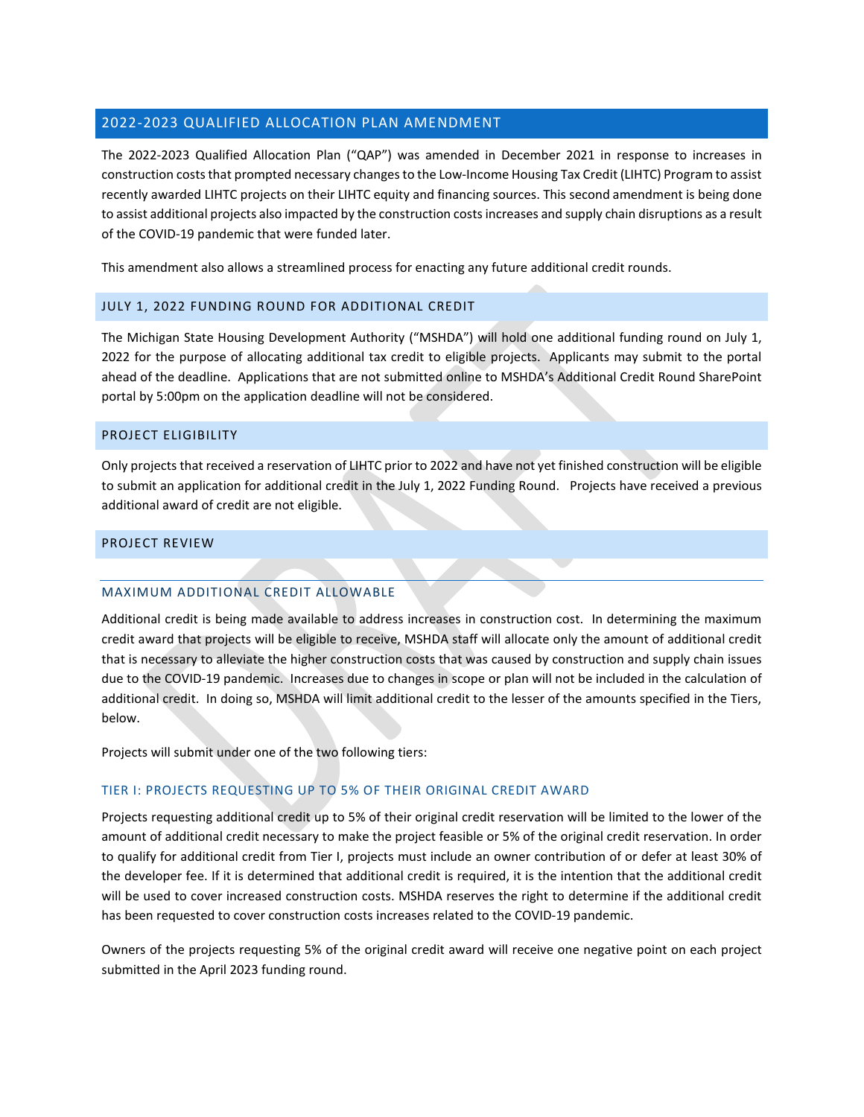# 2022-2023 QUALIFIED ALLOCATION PLAN AMENDMENT

The 2022-2023 Qualified Allocation Plan ("QAP") was amended in December 2021 in response to increases in construction coststhat prompted necessary changes to the Low-Income Housing Tax Credit (LIHTC) Program to assist recently awarded LIHTC projects on their LIHTC equity and financing sources. This second amendment is being done to assist additional projects also impacted by the construction costs increases and supply chain disruptions as a result of the COVID-19 pandemic that were funded later.

This amendment also allows a streamlined process for enacting any future additional credit rounds.

# JULY 1, 2022 FUNDING ROUND FOR ADDITIONAL CREDIT

The Michigan State Housing Development Authority ("MSHDA") will hold one additional funding round on July 1, 2022 for the purpose of allocating additional tax credit to eligible projects. Applicants may submit to the portal ahead of the deadline. Applications that are not submitted online to MSHDA's Additional Credit Round SharePoint portal by 5:00pm on the application deadline will not be considered.

## PROJECT ELIGIBILITY

Only projects that received a reservation of LIHTC prior to 2022 and have not yet finished construction will be eligible to submit an application for additional credit in the July 1, 2022 Funding Round. Projects have received a previous additional award of credit are not eligible.

## PROJECT REVIEW

## MAXIMUM ADDITIONAL CREDIT ALLOWABLE

Additional credit is being made available to address increases in construction cost. In determining the maximum credit award that projects will be eligible to receive, MSHDA staff will allocate only the amount of additional credit that is necessary to alleviate the higher construction costs that was caused by construction and supply chain issues due to the COVID-19 pandemic. Increases due to changes in scope or plan will not be included in the calculation of additional credit. In doing so, MSHDA will limit additional credit to the lesser of the amounts specified in the Tiers, below.

Projects will submit under one of the two following tiers:

## TIER I: PROJECTS REQUESTING UP TO 5% OF THEIR ORIGINAL CREDIT AWARD

Projects requesting additional credit up to 5% of their original credit reservation will be limited to the lower of the amount of additional credit necessary to make the project feasible or 5% of the original credit reservation. In order to qualify for additional credit from Tier I, projects must include an owner contribution of or defer at least 30% of the developer fee. If it is determined that additional credit is required, it is the intention that the additional credit will be used to cover increased construction costs. MSHDA reserves the right to determine if the additional credit has been requested to cover construction costs increases related to the COVID-19 pandemic.

Owners of the projects requesting 5% of the original credit award will receive one negative point on each project submitted in the April 2023 funding round.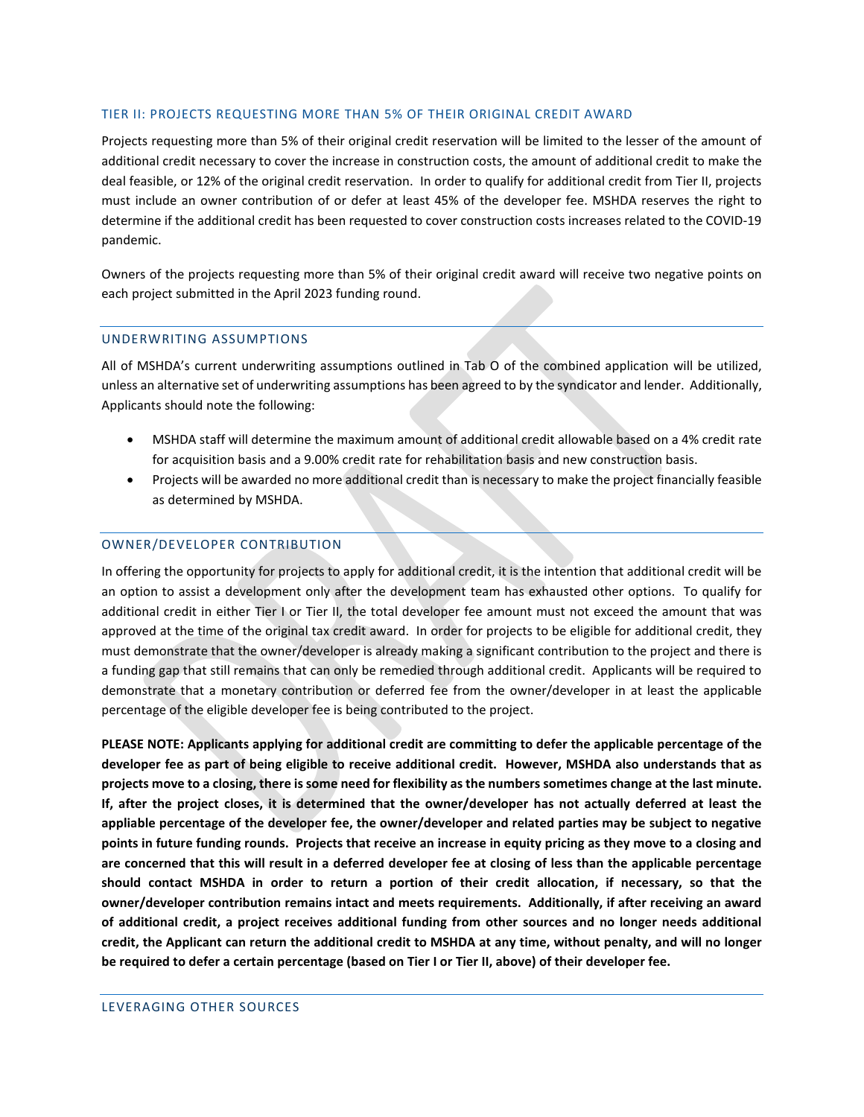#### TIER II: PROJECTS REQUESTING MORE THAN 5% OF THEIR ORIGINAL CREDIT AWARD

Projects requesting more than 5% of their original credit reservation will be limited to the lesser of the amount of additional credit necessary to cover the increase in construction costs, the amount of additional credit to make the deal feasible, or 12% of the original credit reservation. In order to qualify for additional credit from Tier II, projects must include an owner contribution of or defer at least 45% of the developer fee. MSHDA reserves the right to determine if the additional credit has been requested to cover construction costs increases related to the COVID-19 pandemic.

Owners of the projects requesting more than 5% of their original credit award will receive two negative points on each project submitted in the April 2023 funding round.

#### UNDERWRITING ASSUMPTIONS

All of MSHDA's current underwriting assumptions outlined in Tab O of the combined application will be utilized, unless an alternative set of underwriting assumptions has been agreed to by the syndicator and lender. Additionally, Applicants should note the following:

- MSHDA staff will determine the maximum amount of additional credit allowable based on a 4% credit rate for acquisition basis and a 9.00% credit rate for rehabilitation basis and new construction basis.
- Projects will be awarded no more additional credit than is necessary to make the project financially feasible as determined by MSHDA.

### OWNER/DEVELOPER CONTRIBUTION

In offering the opportunity for projects to apply for additional credit, it is the intention that additional credit will be an option to assist a development only after the development team has exhausted other options. To qualify for additional credit in either Tier I or Tier II, the total developer fee amount must not exceed the amount that was approved at the time of the original tax credit award. In order for projects to be eligible for additional credit, they must demonstrate that the owner/developer is already making a significant contribution to the project and there is a funding gap that still remains that can only be remedied through additional credit. Applicants will be required to demonstrate that a monetary contribution or deferred fee from the owner/developer in at least the applicable percentage of the eligible developer fee is being contributed to the project.

**PLEASE NOTE: Applicants applying for additional credit are committing to defer the applicable percentage of the developer fee as part of being eligible to receive additional credit. However, MSHDA also understands that as projects move to a closing, there is some need for flexibility as the numbers sometimes change at the last minute. If, after the project closes, it is determined that the owner/developer has not actually deferred at least the appliable percentage of the developer fee, the owner/developer and related parties may be subject to negative points in future funding rounds. Projects that receive an increase in equity pricing as they move to a closing and are concerned that this will result in a deferred developer fee at closing of less than the applicable percentage should contact MSHDA in order to return a portion of their credit allocation, if necessary, so that the owner/developer contribution remains intact and meets requirements. Additionally, if after receiving an award of additional credit, a project receives additional funding from other sources and no longer needs additional credit, the Applicant can return the additional credit to MSHDA at any time, without penalty, and will no longer be required to defer a certain percentage (based on Tier I or Tier II, above) of their developer fee.**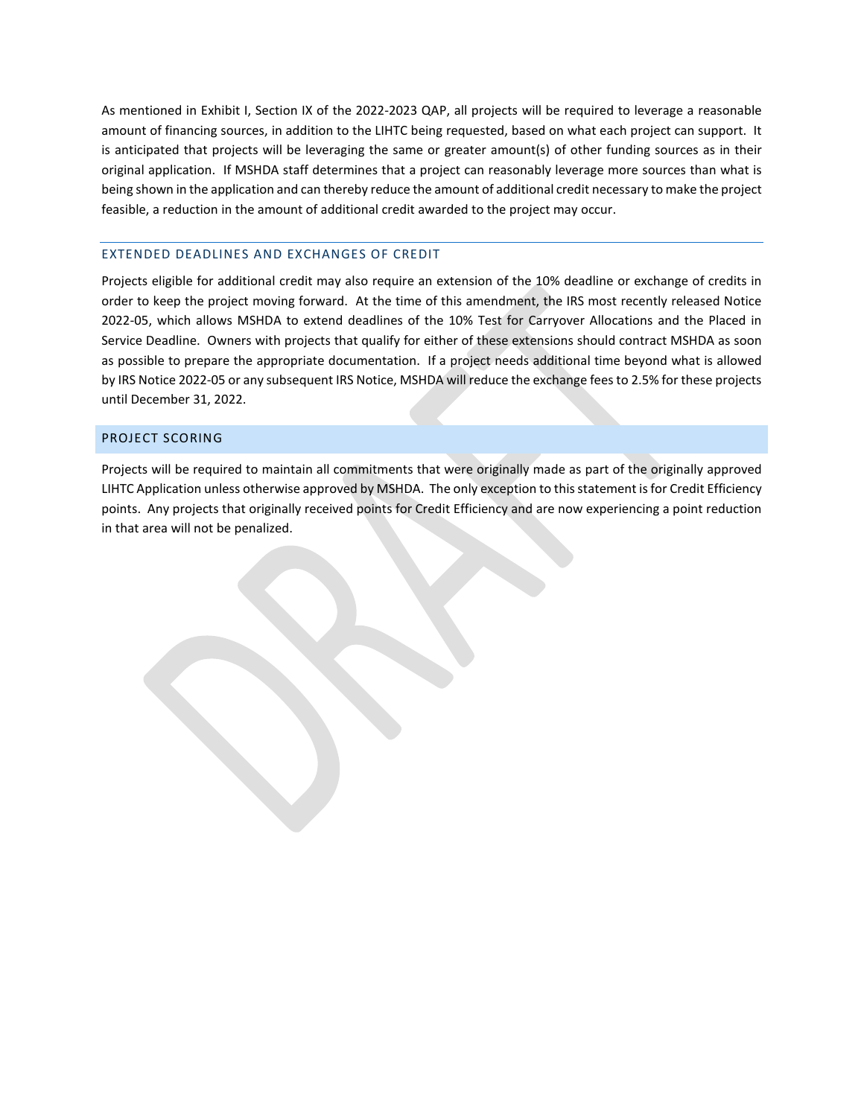As mentioned in Exhibit I, Section IX of the 2022-2023 QAP, all projects will be required to leverage a reasonable amount of financing sources, in addition to the LIHTC being requested, based on what each project can support. It is anticipated that projects will be leveraging the same or greater amount(s) of other funding sources as in their original application. If MSHDA staff determines that a project can reasonably leverage more sources than what is being shown in the application and can thereby reduce the amount of additional credit necessary to make the project feasible, a reduction in the amount of additional credit awarded to the project may occur.

### EXTENDED DEADLINES AND EXCHANGES OF CREDIT

Projects eligible for additional credit may also require an extension of the 10% deadline or exchange of credits in order to keep the project moving forward. At the time of this amendment, the IRS most recently released Notice 2022-05, which allows MSHDA to extend deadlines of the 10% Test for Carryover Allocations and the Placed in Service Deadline. Owners with projects that qualify for either of these extensions should contract MSHDA as soon as possible to prepare the appropriate documentation. If a project needs additional time beyond what is allowed by IRS Notice 2022-05 or any subsequent IRS Notice, MSHDA will reduce the exchange fees to 2.5% for these projects until December 31, 2022.

### PROJECT SCORING

Projects will be required to maintain all commitments that were originally made as part of the originally approved LIHTC Application unless otherwise approved by MSHDA. The only exception to this statement is for Credit Efficiency points. Any projects that originally received points for Credit Efficiency and are now experiencing a point reduction in that area will not be penalized.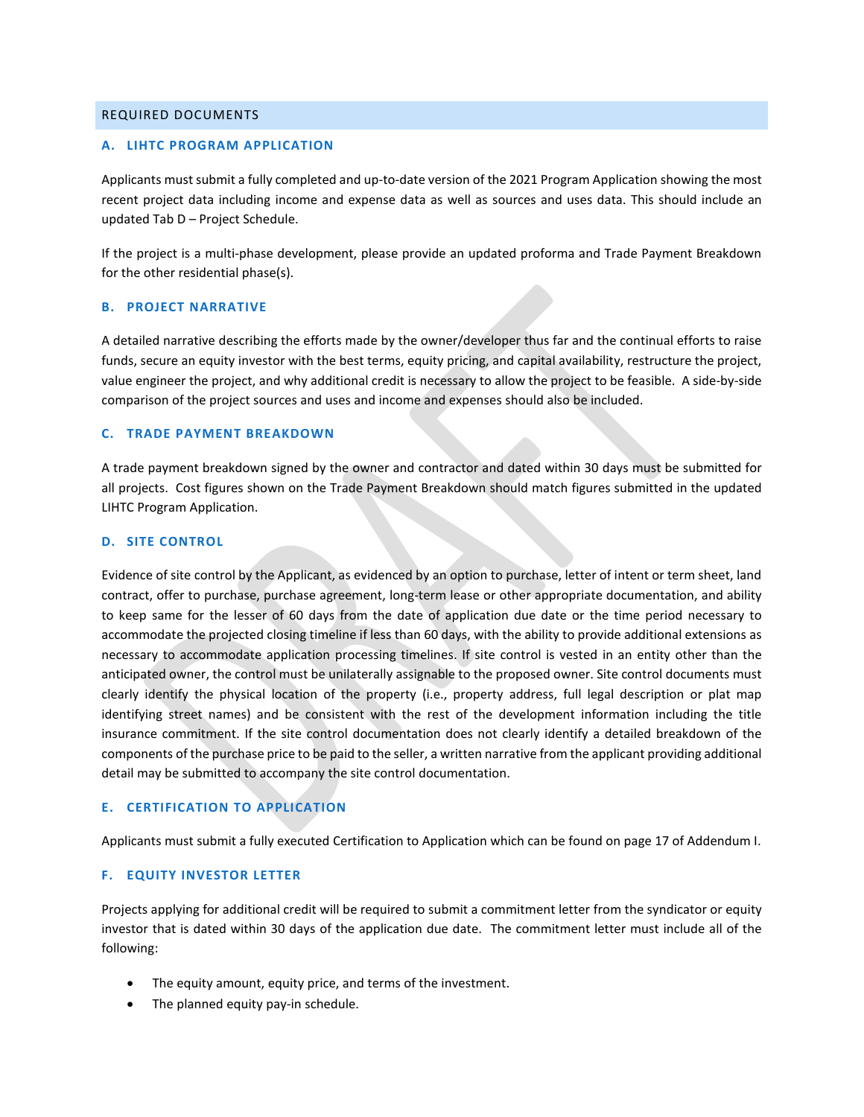### REQUIRED DOCUMENTS

#### **A. LIHTC PROGRAM APPLICATION**

Applicants must submit a fully completed and up-to-date version of the 2021 Program Application showing the most recent project data including income and expense data as well as sources and uses data. This should include an updated Tab D – Project Schedule.

If the project is a multi-phase development, please provide an updated proforma and Trade Payment Breakdown for the other residential phase(s).

#### **B. PROJECT NARRATIVE**

A detailed narrative describing the efforts made by the owner/developer thus far and the continual efforts to raise funds, secure an equity investor with the best terms, equity pricing, and capital availability, restructure the project, value engineer the project, and why additional credit is necessary to allow the project to be feasible. A side-by-side comparison of the project sources and uses and income and expenses should also be included.

#### **C. TRADE PAYMENT BREAKDOWN**

A trade payment breakdown signed by the owner and contractor and dated within 30 days must be submitted for all projects. Cost figures shown on the Trade Payment Breakdown should match figures submitted in the updated LIHTC Program Application.

#### **D. SITE CONTROL**

Evidence of site control by the Applicant, as evidenced by an option to purchase, letter of intent or term sheet, land contract, offer to purchase, purchase agreement, long-term lease or other appropriate documentation, and ability to keep same for the lesser of 60 days from the date of application due date or the time period necessary to accommodate the projected closing timeline if less than 60 days, with the ability to provide additional extensions as necessary to accommodate application processing timelines. If site control is vested in an entity other than the anticipated owner, the control must be unilaterally assignable to the proposed owner. Site control documents must clearly identify the physical location of the property (i.e., property address, full legal description or plat map identifying street names) and be consistent with the rest of the development information including the title insurance commitment. If the site control documentation does not clearly identify a detailed breakdown of the components of the purchase price to be paid to the seller, a written narrative from the applicant providing additional detail may be submitted to accompany the site control documentation.

## **E. CERTIFICATION TO APPLICATION**

Applicants must submit a fully executed Certification to Application which can be found on page 17 of Addendum I.

## **F. EQUITY INVESTOR LETTER**

Projects applying for additional credit will be required to submit a commitment letter from the syndicator or equity investor that is dated within 30 days of the application due date. The commitment letter must include all of the following:

- The equity amount, equity price, and terms of the investment.
- The planned equity pay-in schedule.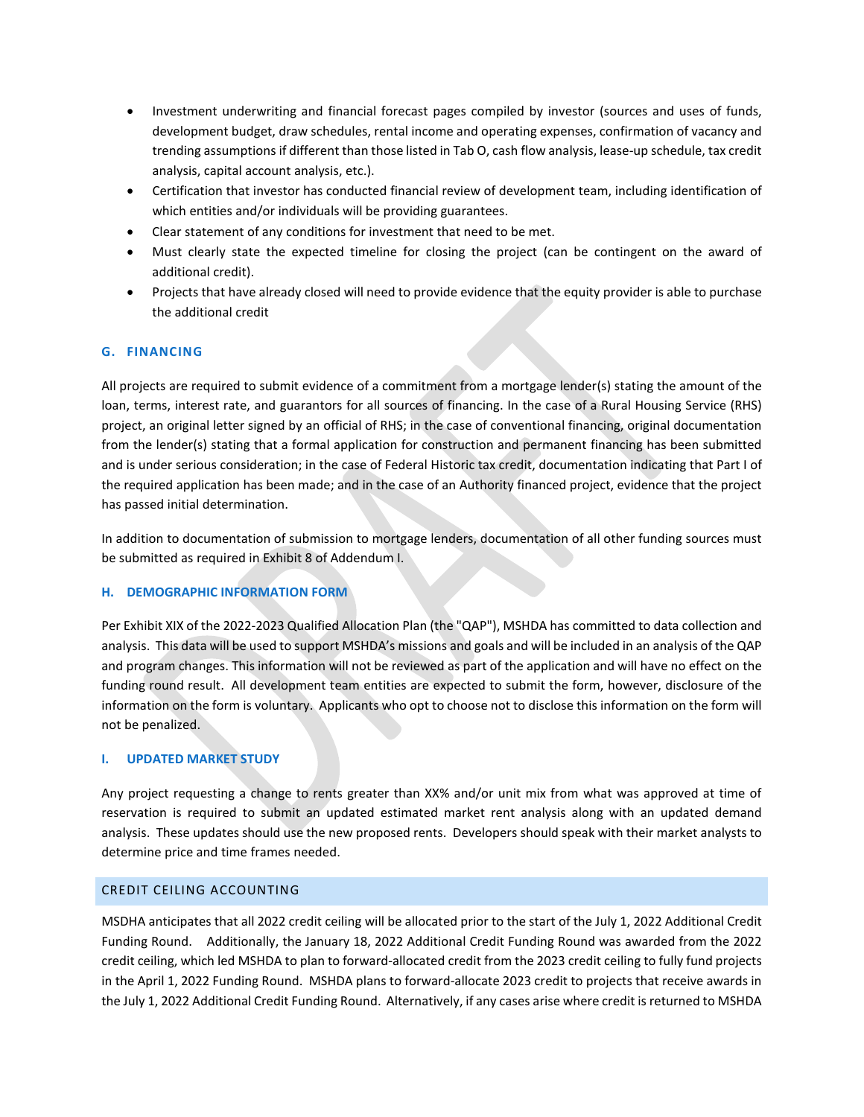- Investment underwriting and financial forecast pages compiled by investor (sources and uses of funds, development budget, draw schedules, rental income and operating expenses, confirmation of vacancy and trending assumptions if different than those listed in Tab O, cash flow analysis, lease-up schedule, tax credit analysis, capital account analysis, etc.).
- Certification that investor has conducted financial review of development team, including identification of which entities and/or individuals will be providing guarantees.
- Clear statement of any conditions for investment that need to be met.
- Must clearly state the expected timeline for closing the project (can be contingent on the award of additional credit).
- Projects that have already closed will need to provide evidence that the equity provider is able to purchase the additional credit

# **G. FINANCING**

All projects are required to submit evidence of a commitment from a mortgage lender(s) stating the amount of the loan, terms, interest rate, and guarantors for all sources of financing. In the case of a Rural Housing Service (RHS) project, an original letter signed by an official of RHS; in the case of conventional financing, original documentation from the lender(s) stating that a formal application for construction and permanent financing has been submitted and is under serious consideration; in the case of Federal Historic tax credit, documentation indicating that Part I of the required application has been made; and in the case of an Authority financed project, evidence that the project has passed initial determination.

In addition to documentation of submission to mortgage lenders, documentation of all other funding sources must be submitted as required in Exhibit 8 of Addendum I.

## **H. DEMOGRAPHIC INFORMATION FORM**

Per Exhibit XIX of the 2022-2023 Qualified Allocation Plan (the "QAP"), MSHDA has committed to data collection and analysis. This data will be used to support MSHDA's missions and goals and will be included in an analysis of the QAP and program changes. This information will not be reviewed as part of the application and will have no effect on the funding round result. All development team entities are expected to submit the form, however, disclosure of the information on the form is voluntary. Applicants who opt to choose not to disclose this information on the form will not be penalized.

## **I. UPDATED MARKET STUDY**

Any project requesting a change to rents greater than XX% and/or unit mix from what was approved at time of reservation is required to submit an updated estimated market rent analysis along with an updated demand analysis. These updates should use the new proposed rents. Developers should speak with their market analysts to determine price and time frames needed.

### CREDIT CEILING ACCOUNTING

MSDHA anticipates that all 2022 credit ceiling will be allocated prior to the start of the July 1, 2022 Additional Credit Funding Round. Additionally, the January 18, 2022 Additional Credit Funding Round was awarded from the 2022 credit ceiling, which led MSHDA to plan to forward-allocated credit from the 2023 credit ceiling to fully fund projects in the April 1, 2022 Funding Round. MSHDA plans to forward-allocate 2023 credit to projects that receive awards in the July 1, 2022 Additional Credit Funding Round. Alternatively, if any cases arise where credit is returned to MSHDA